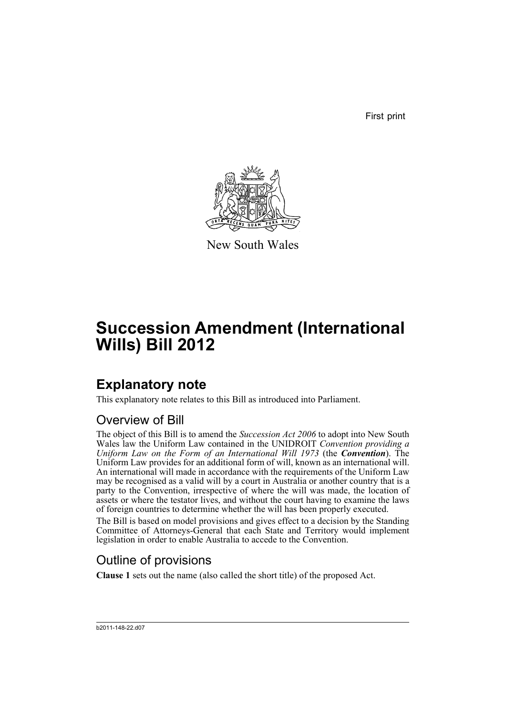First print



New South Wales

# **Succession Amendment (International Wills) Bill 2012**

# **Explanatory note**

This explanatory note relates to this Bill as introduced into Parliament.

## Overview of Bill

The object of this Bill is to amend the *Succession Act 2006* to adopt into New South Wales law the Uniform Law contained in the UNIDROIT *Convention providing a Uniform Law on the Form of an International Will 1973* (the *Convention*). The Uniform Law provides for an additional form of will, known as an international will. An international will made in accordance with the requirements of the Uniform Law may be recognised as a valid will by a court in Australia or another country that is a party to the Convention, irrespective of where the will was made, the location of assets or where the testator lives, and without the court having to examine the laws of foreign countries to determine whether the will has been properly executed.

The Bill is based on model provisions and gives effect to a decision by the Standing Committee of Attorneys-General that each State and Territory would implement legislation in order to enable Australia to accede to the Convention.

## Outline of provisions

**Clause 1** sets out the name (also called the short title) of the proposed Act.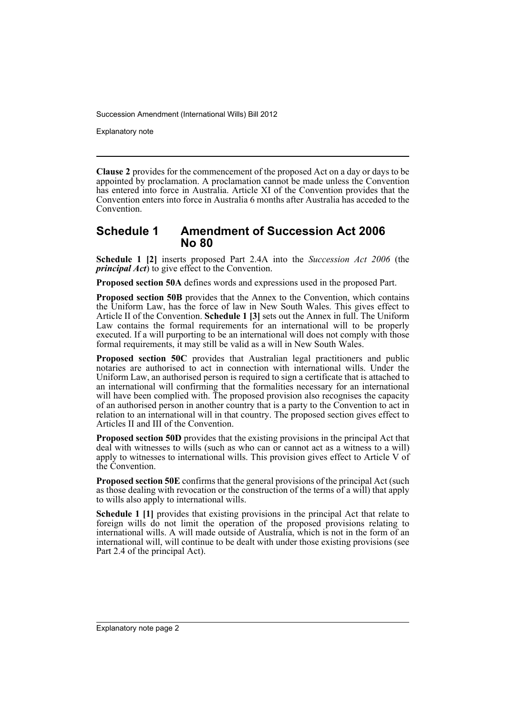Explanatory note

**Clause 2** provides for the commencement of the proposed Act on a day or days to be appointed by proclamation. A proclamation cannot be made unless the Convention has entered into force in Australia. Article XI of the Convention provides that the Convention enters into force in Australia 6 months after Australia has acceded to the Convention.

### **Schedule 1 Amendment of Succession Act 2006 No 80**

**Schedule 1 [2]** inserts proposed Part 2.4A into the *Succession Act 2006* (the *principal Act*) to give effect to the Convention.

**Proposed section 50A** defines words and expressions used in the proposed Part.

**Proposed section 50B** provides that the Annex to the Convention, which contains the Uniform Law, has the force of law in New South Wales. This gives effect to Article II of the Convention. **Schedule 1 [3]** sets out the Annex in full. The Uniform Law contains the formal requirements for an international will to be properly executed. If a will purporting to be an international will does not comply with those formal requirements, it may still be valid as a will in New South Wales.

**Proposed section 50C** provides that Australian legal practitioners and public notaries are authorised to act in connection with international wills. Under the Uniform Law, an authorised person is required to sign a certificate that is attached to an international will confirming that the formalities necessary for an international will have been complied with. The proposed provision also recognises the capacity of an authorised person in another country that is a party to the Convention to act in relation to an international will in that country. The proposed section gives effect to Articles II and III of the Convention.

**Proposed section 50D** provides that the existing provisions in the principal Act that deal with witnesses to wills (such as who can or cannot act as a witness to a will) apply to witnesses to international wills. This provision gives effect to Article V of the Convention.

**Proposed section 50E** confirms that the general provisions of the principal Act (such as those dealing with revocation or the construction of the terms of a will) that apply to wills also apply to international wills.

**Schedule 1 [1]** provides that existing provisions in the principal Act that relate to foreign wills do not limit the operation of the proposed provisions relating to international wills. A will made outside of Australia, which is not in the form of an international will, will continue to be dealt with under those existing provisions (see Part 2.4 of the principal Act).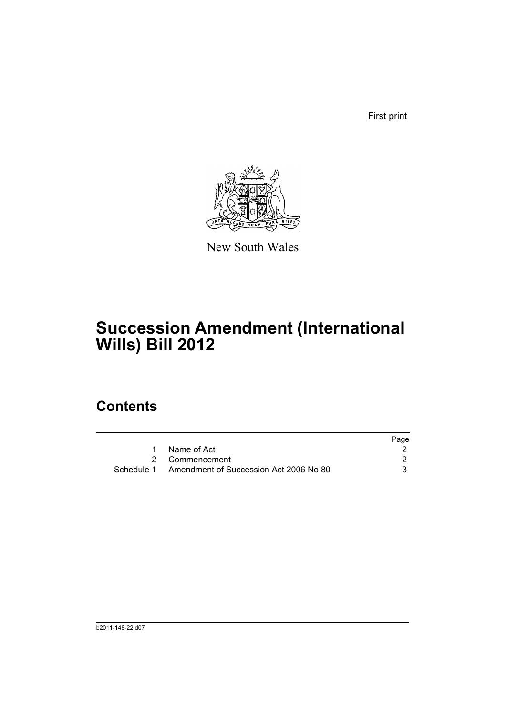First print



New South Wales

# **Succession Amendment (International Wills) Bill 2012**

## **Contents**

|                                                   | Page |
|---------------------------------------------------|------|
| Name of Act                                       |      |
| 2 Commencement                                    |      |
| Schedule 1 Amendment of Succession Act 2006 No 80 |      |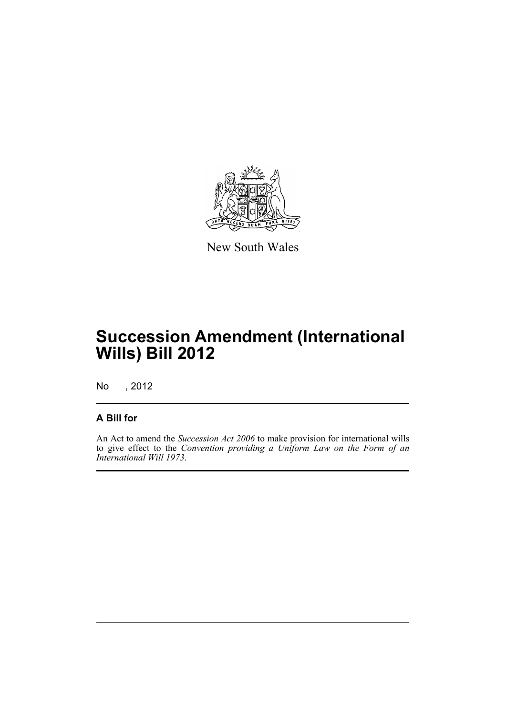

New South Wales

# **Succession Amendment (International Wills) Bill 2012**

No , 2012

### **A Bill for**

An Act to amend the *Succession Act 2006* to make provision for international wills to give effect to the *Convention providing a Uniform Law on the Form of an International Will 1973*.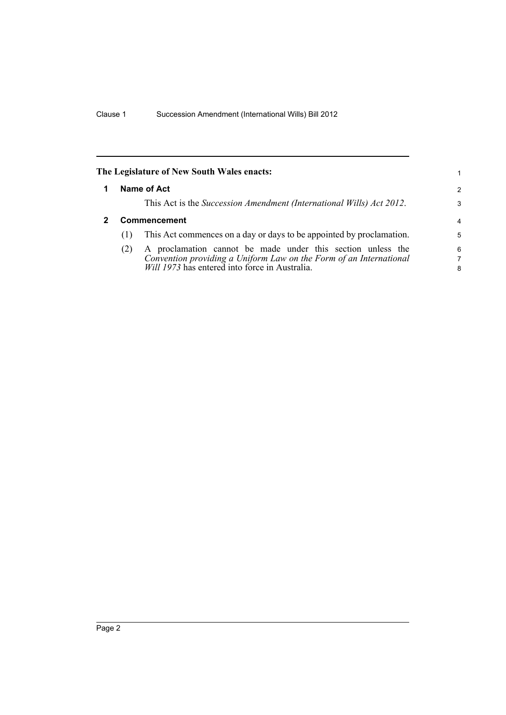<span id="page-5-1"></span><span id="page-5-0"></span>

| The Legislature of New South Wales enacts: |     | 1                                                                                                                                                                                   |               |
|--------------------------------------------|-----|-------------------------------------------------------------------------------------------------------------------------------------------------------------------------------------|---------------|
|                                            |     | Name of Act                                                                                                                                                                         | $\mathcal{P}$ |
|                                            |     | This Act is the Succession Amendment (International Wills) Act 2012.                                                                                                                | 3             |
| <b>Commencement</b>                        |     |                                                                                                                                                                                     | 4             |
|                                            | (1) | This Act commences on a day or days to be appointed by proclamation.                                                                                                                | 5             |
|                                            | (2) | A proclamation cannot be made under this section unless the<br>Convention providing a Uniform Law on the Form of an International<br>Will 1973 has entered into force in Australia. | 6<br>7<br>8   |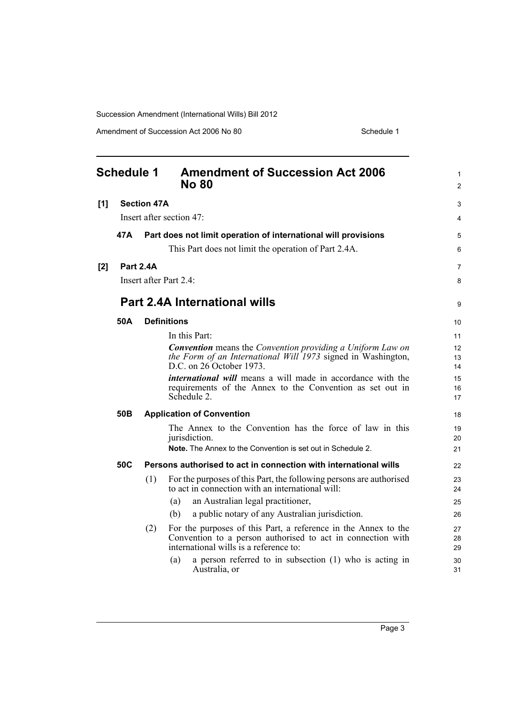Amendment of Succession Act 2006 No 80 Schedule 1

<span id="page-6-0"></span>

| <b>Schedule 1</b> |      |                    | <b>Amendment of Succession Act 2006</b><br><b>No 80</b>                                                                 | 1<br>$\overline{2}$ |
|-------------------|------|--------------------|-------------------------------------------------------------------------------------------------------------------------|---------------------|
| [1]               |      | <b>Section 47A</b> |                                                                                                                         | 3                   |
|                   |      |                    | Insert after section 47:                                                                                                | 4                   |
|                   | 47 A |                    | Part does not limit operation of international will provisions                                                          | 5                   |
|                   |      |                    | This Part does not limit the operation of Part 2.4A.                                                                    | 6                   |
| $[2]$             |      | <b>Part 2.4A</b>   |                                                                                                                         | $\overline{7}$      |
|                   |      |                    | Insert after Part 2.4:                                                                                                  | 8                   |
|                   |      |                    | <b>Part 2.4A International wills</b>                                                                                    | 9                   |
|                   | 50A  |                    | <b>Definitions</b>                                                                                                      | 10                  |
|                   |      |                    | In this Part:                                                                                                           | 11                  |
|                   |      |                    | <b>Convention</b> means the Convention providing a Uniform Law on                                                       | 12                  |
|                   |      |                    | the Form of an International Will 1973 signed in Washington,<br>D.C. on 26 October 1973.                                | 13<br>14            |
|                   |      |                    | <i>international will</i> means a will made in accordance with the                                                      | 15                  |
|                   |      |                    | requirements of the Annex to the Convention as set out in                                                               | 16                  |
|                   |      |                    | Schedule 2.                                                                                                             | 17                  |
|                   | 50B  |                    | <b>Application of Convention</b>                                                                                        | 18                  |
|                   |      |                    | The Annex to the Convention has the force of law in this                                                                | 19                  |
|                   |      |                    | jurisdiction.                                                                                                           | 20                  |
|                   |      |                    | <b>Note.</b> The Annex to the Convention is set out in Schedule 2.                                                      | 21                  |
|                   | 50C  |                    | Persons authorised to act in connection with international wills                                                        | 22                  |
|                   |      | (1)                | For the purposes of this Part, the following persons are authorised<br>to act in connection with an international will: | 23<br>24            |
|                   |      |                    | an Australian legal practitioner,<br>(a)                                                                                | 25                  |
|                   |      |                    | a public notary of any Australian jurisdiction.<br>(b)                                                                  | 26                  |
|                   |      | (2)                | For the purposes of this Part, a reference in the Annex to the                                                          | 27                  |
|                   |      |                    | Convention to a person authorised to act in connection with<br>international wills is a reference to:                   | 28                  |
|                   |      |                    | a person referred to in subsection (1) who is acting in<br>(a)                                                          | 29                  |
|                   |      |                    | Australia, or                                                                                                           | 30<br>31            |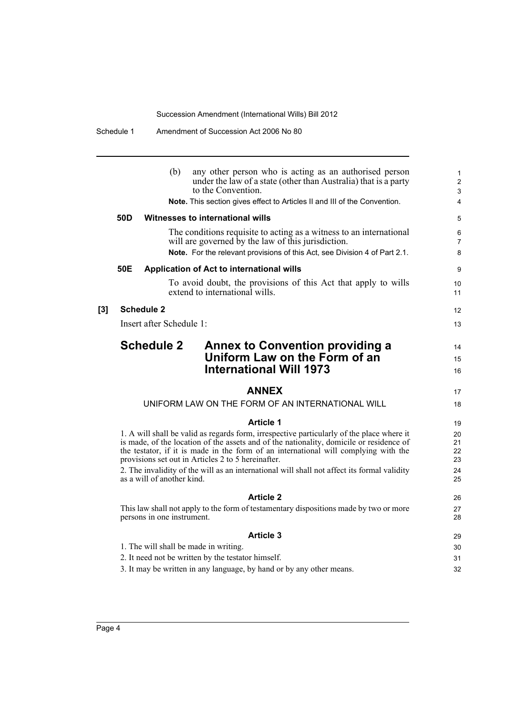|                 | (b)<br>any other person who is acting as an authorised person<br>under the law of a state (other than Australia) that is a party<br>to the Convention.                                                                                                                                                                                                                                                                           | 1<br>$\overline{c}$<br>3   |
|-----------------|----------------------------------------------------------------------------------------------------------------------------------------------------------------------------------------------------------------------------------------------------------------------------------------------------------------------------------------------------------------------------------------------------------------------------------|----------------------------|
|                 | Note. This section gives effect to Articles II and III of the Convention.                                                                                                                                                                                                                                                                                                                                                        | $\overline{4}$             |
| 50 <sub>D</sub> | Witnesses to international wills                                                                                                                                                                                                                                                                                                                                                                                                 | 5                          |
|                 | The conditions requisite to acting as a witness to an international<br>will are governed by the law of this jurisdiction.<br>Note. For the relevant provisions of this Act, see Division 4 of Part 2.1.                                                                                                                                                                                                                          | 6<br>7<br>8                |
| 50E             | Application of Act to international wills                                                                                                                                                                                                                                                                                                                                                                                        | 9                          |
|                 | To avoid doubt, the provisions of this Act that apply to wills<br>extend to international wills.                                                                                                                                                                                                                                                                                                                                 | 10<br>11                   |
|                 | <b>Schedule 2</b>                                                                                                                                                                                                                                                                                                                                                                                                                | 12                         |
|                 | Insert after Schedule 1:                                                                                                                                                                                                                                                                                                                                                                                                         | 13                         |
|                 | <b>Schedule 2</b><br><b>Annex to Convention providing a</b><br>Uniform Law on the Form of an<br><b>International Will 1973</b>                                                                                                                                                                                                                                                                                                   | 14<br>15<br>16             |
|                 | <b>ANNEX</b>                                                                                                                                                                                                                                                                                                                                                                                                                     | 17                         |
|                 | UNIFORM LAW ON THE FORM OF AN INTERNATIONAL WILL                                                                                                                                                                                                                                                                                                                                                                                 | 18                         |
|                 | <b>Article 1</b>                                                                                                                                                                                                                                                                                                                                                                                                                 | 19                         |
|                 | 1. A will shall be valid as regards form, irrespective particularly of the place where it<br>is made, of the location of the assets and of the nationality, domicile or residence of<br>the testator, if it is made in the form of an international will complying with the<br>provisions set out in Articles 2 to 5 hereinafter.<br>2. The invalidity of the will as an international will shall not affect its formal validity | 20<br>21<br>22<br>23<br>24 |
|                 | as a will of another kind.                                                                                                                                                                                                                                                                                                                                                                                                       | 25                         |
|                 | <b>Article 2</b>                                                                                                                                                                                                                                                                                                                                                                                                                 | 26                         |
|                 | This law shall not apply to the form of testamentary dispositions made by two or more<br>persons in one instrument.                                                                                                                                                                                                                                                                                                              | 27<br>28                   |
|                 | <b>Article 3</b>                                                                                                                                                                                                                                                                                                                                                                                                                 | 29                         |
|                 | 1. The will shall be made in writing.                                                                                                                                                                                                                                                                                                                                                                                            | 30                         |
|                 | 2. It need not be written by the testator himself.                                                                                                                                                                                                                                                                                                                                                                               | 31                         |
|                 | 3. It may be written in any language, by hand or by any other means.                                                                                                                                                                                                                                                                                                                                                             | 32                         |
|                 |                                                                                                                                                                                                                                                                                                                                                                                                                                  |                            |

**[3]**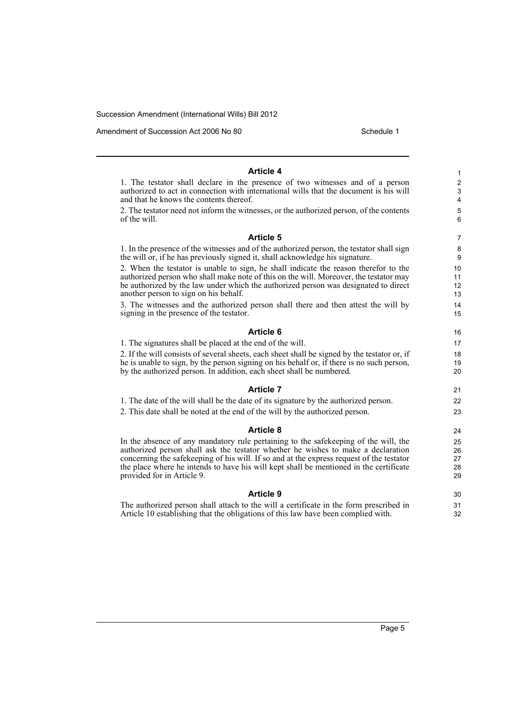Amendment of Succession Act 2006 No 80 Schedule 1

21 22 23

30 31 32

### **Article 4**

1. The testator shall declare in the presence of two witnesses and of a person authorized to act in connection with international wills that the document is his will and that he knows the contents thereof.

2. The testator need not inform the witnesses, or the authorized person, of the contents of the will.

### **Article 5**

1. In the presence of the witnesses and of the authorized person, the testator shall sign the will or, if he has previously signed it, shall acknowledge his signature.

2. When the testator is unable to sign, he shall indicate the reason therefor to the authorized person who shall make note of this on the will. Moreover, the testator may be authorized by the law under which the authorized person was designated to direct another person to sign on his behalf.

3. The witnesses and the authorized person shall there and then attest the will by signing in the presence of the testator.

### **Article 6**

1. The signatures shall be placed at the end of the will.

2. If the will consists of several sheets, each sheet shall be signed by the testator or, if he is unable to sign, by the person signing on his behalf or, if there is no such person, by the authorized person. In addition, each sheet shall be numbered.

### **Article 7**

1. The date of the will shall be the date of its signature by the authorized person.

2. This date shall be noted at the end of the will by the authorized person.

#### **Article 8**

In the absence of any mandatory rule pertaining to the safekeeping of the will, the authorized person shall ask the testator whether he wishes to make a declaration concerning the safekeeping of his will. If so and at the express request of the testator the place where he intends to have his will kept shall be mentioned in the certificate provided for in Article 9.

### **Article 9**

The authorized person shall attach to the will a certificate in the form prescribed in Article 10 establishing that the obligations of this law have been complied with.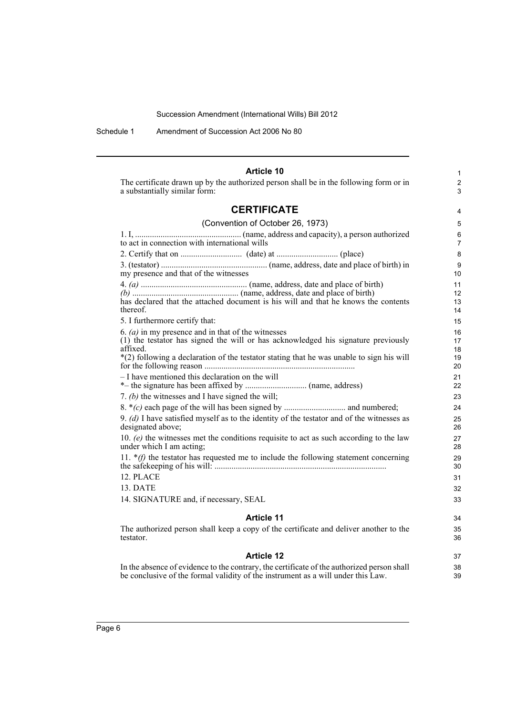Schedule 1 Amendment of Succession Act 2006 No 80

#### **Article 10** The certificate drawn up by the authorized person shall be in the following form or in a substantially similar form: **CERTIFICATE** (Convention of October 26, 1973) 1. I, .................................................. (name, address and capacity), a person authorized to act in connection with international wills 2. Certify that on ............................. (date) at ............................. (place) 3. (testator) .................................................. (name, address, date and place of birth) in my presence and that of the witnesses 4. *(a)* .................................................. (name, address, date and place of birth) *(b)* .................................................. (name, address, date and place of birth) has declared that the attached document is his will and that he knows the contents thereof. 5. I furthermore certify that: 6. *(a)* in my presence and in that of the witnesses (1) the testator has signed the will or has acknowledged his signature previously affixed. \*(2) following a declaration of the testator stating that he was unable to sign his will for the following reason ....................................................................... – I have mentioned this declaration on the will \*– the signature has been affixed by ............................. (name, address) 7. *(b)* the witnesses and I have signed the will; 8. \**(c)* each page of the will has been signed by ............................. and numbered; 9. *(d)* I have satisfied myself as to the identity of the testator and of the witnesses as designated above; 10. *(e)* the witnesses met the conditions requisite to act as such according to the law under which I am acting; 11. \**(f)* the testator has requested me to include the following statement concerning the safekeeping of his will: ................................................................................. 12. PLACE 13. DATE 14. SIGNATURE and, if necessary, SEAL **Article 11** The authorized person shall keep a copy of the certificate and deliver another to the testator. **Article 12** 1  $\overline{2}$ 3 4 5 6 7 8 9 10 11 12 13 14 15 16 17 18 19 20 21 22 23 24 25 26 27 28 29 30 31 32 33  $34$ 35 36 37

In the absence of evidence to the contrary, the certificate of the authorized person shall be conclusive of the formal validity of the instrument as a will under this Law.

38 39